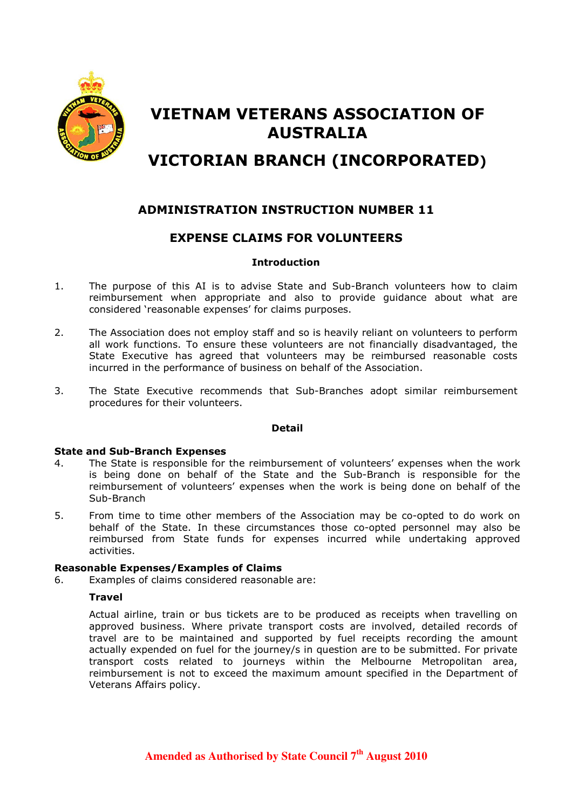

# VIETNAM VETERANS ASSOCIATION OF AUSTRALIA

# VICTORIAN BRANCH (INCORPORATED)

## ADMINISTRATION INSTRUCTION NUMBER 11

### EXPENSE CLAIMS FOR VOLUNTEERS

#### Introduction

- 1. The purpose of this AI is to advise State and Sub-Branch volunteers how to claim reimbursement when appropriate and also to provide guidance about what are considered 'reasonable expenses' for claims purposes.
- 2. The Association does not employ staff and so is heavily reliant on volunteers to perform all work functions. To ensure these volunteers are not financially disadvantaged, the State Executive has agreed that volunteers may be reimbursed reasonable costs incurred in the performance of business on behalf of the Association.
- 3. The State Executive recommends that Sub-Branches adopt similar reimbursement procedures for their volunteers.

#### Detail

#### State and Sub-Branch Expenses

- 4. The State is responsible for the reimbursement of volunteers' expenses when the work is being done on behalf of the State and the Sub-Branch is responsible for the reimbursement of volunteers' expenses when the work is being done on behalf of the Sub-Branch
- 5. From time to time other members of the Association may be co-opted to do work on behalf of the State. In these circumstances those co-opted personnel may also be reimbursed from State funds for expenses incurred while undertaking approved activities.

#### Reasonable Expenses/Examples of Claims

6. Examples of claims considered reasonable are:

#### Travel

Actual airline, train or bus tickets are to be produced as receipts when travelling on approved business. Where private transport costs are involved, detailed records of travel are to be maintained and supported by fuel receipts recording the amount actually expended on fuel for the journey/s in question are to be submitted. For private transport costs related to journeys within the Melbourne Metropolitan area, reimbursement is not to exceed the maximum amount specified in the Department of Veterans Affairs policy.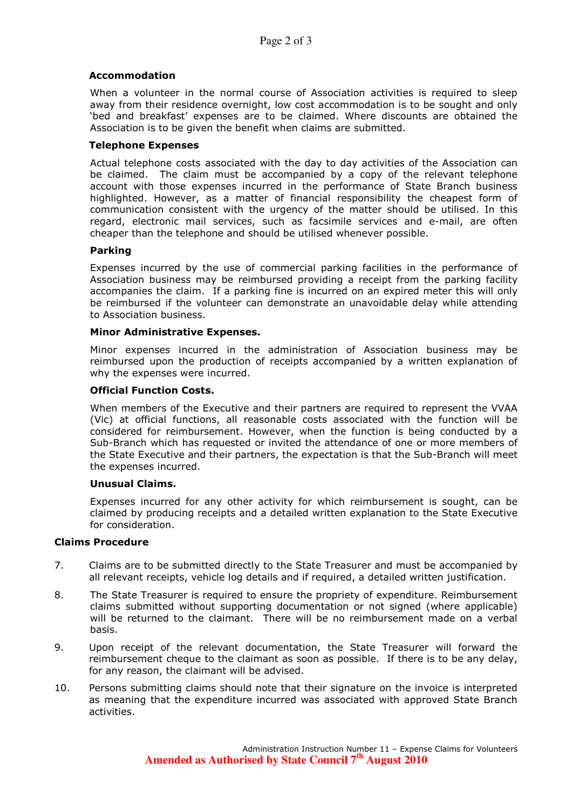#### Accommodation

When a volunteer in the normal course of Association activities is required to sleep away from their residence overnight, low cost accommodation is to be sought and only 'bed and breakfast' expenses are to be claimed. Where discounts are obtained the Association is to be given the benefit when claims are submitted.

#### Telephone Expenses

Actual telephone costs associated with the day to day activities of the Association can be claimed. The claim must be accompanied by a copy of the relevant telephone account with those expenses incurred in the performance of State Branch business highlighted. However, as a matter of financial responsibility the cheapest form of communication consistent with the urgency of the matter should be utilised. In this regard, electronic mail services, such as facsimile services and e-mail, are often cheaper than the telephone and should be utilised whenever possible.

#### Parking

Expenses incurred by the use of commercial parking facilities in the performance of Association business may be reimbursed providing a receipt from the parking facility accompanies the claim. If a parking fine is incurred on an expired meter this will only be reimbursed if the volunteer can demonstrate an unavoidable delay while attending to Association business.

#### Minor Administrative Expenses.

Minor expenses incurred in the administration of Association business may be reimbursed upon the production of receipts accompanied by a written explanation of why the expenses were incurred.

#### Official Function Costs.

When members of the Executive and their partners are required to represent the VVAA (Vic) at official functions, all reasonable costs associated with the function will be considered for reimbursement. However, when the function is being conducted by a Sub-Branch which has requested or invited the attendance of one or more members of the State Executive and their partners, the expectation is that the Sub-Branch will meet the expenses incurred.

#### Unusual Claims.

Expenses incurred for any other activity for which reimbursement is sought, can be claimed by producing receipts and a detailed written explanation to the State Executive for consideration.

#### Claims Procedure

- 7. Claims are to be submitted directly to the State Treasurer and must be accompanied by all relevant receipts, vehicle log details and if required, a detailed written justification.
- 8. The State Treasurer is required to ensure the propriety of expenditure. Reimbursement claims submitted without supporting documentation or not signed (where applicable) will be returned to the claimant. There will be no reimbursement made on a verbal basis.
- 9. Upon receipt of the relevant documentation, the State Treasurer will forward the reimbursement cheque to the claimant as soon as possible. If there is to be any delay, for any reason, the claimant will be advised.
- 10. Persons submitting claims should note that their signature on the invoice is interpreted as meaning that the expenditure incurred was associated with approved State Branch activities.